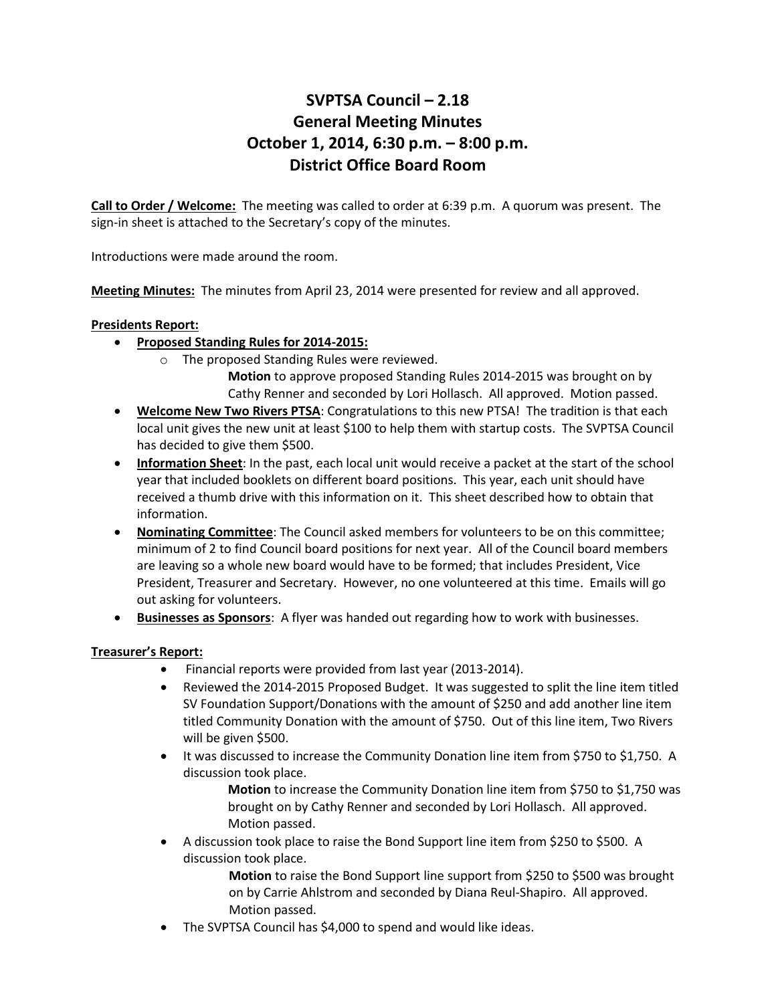# **SVPTSA Council – 2.18 General Meeting Minutes October 1, 2014, 6:30 p.m. – 8:00 p.m. District Office Board Room**

**Call to Order / Welcome:** The meeting was called to order at 6:39 p.m. A quorum was present. The sign-in sheet is attached to the Secretary's copy of the minutes.

Introductions were made around the room.

**Meeting Minutes:** The minutes from April 23, 2014 were presented for review and all approved.

### **Presidents Report:**

- **Proposed Standing Rules for 2014-2015:**
	- o The proposed Standing Rules were reviewed.
		- **Motion** to approve proposed Standing Rules 2014-2015 was brought on by Cathy Renner and seconded by Lori Hollasch. All approved. Motion passed.
- **Welcome New Two Rivers PTSA**: Congratulations to this new PTSA! The tradition is that each local unit gives the new unit at least \$100 to help them with startup costs. The SVPTSA Council has decided to give them \$500.
- **Information Sheet**: In the past, each local unit would receive a packet at the start of the school year that included booklets on different board positions. This year, each unit should have received a thumb drive with this information on it. This sheet described how to obtain that information.
- **Nominating Committee**: The Council asked members for volunteers to be on this committee; minimum of 2 to find Council board positions for next year. All of the Council board members are leaving so a whole new board would have to be formed; that includes President, Vice President, Treasurer and Secretary. However, no one volunteered at this time. Emails will go out asking for volunteers.
- **Businesses as Sponsors**: A flyer was handed out regarding how to work with businesses.

#### **Treasurer's Report:**

- Financial reports were provided from last year (2013-2014).
- Reviewed the 2014-2015 Proposed Budget. It was suggested to split the line item titled SV Foundation Support/Donations with the amount of \$250 and add another line item titled Community Donation with the amount of \$750. Out of this line item, Two Rivers will be given \$500.
- It was discussed to increase the Community Donation line item from \$750 to \$1,750. A discussion took place.
	- **Motion** to increase the Community Donation line item from \$750 to \$1,750 was brought on by Cathy Renner and seconded by Lori Hollasch. All approved. Motion passed.
- A discussion took place to raise the Bond Support line item from \$250 to \$500. A discussion took place.
	- **Motion** to raise the Bond Support line support from \$250 to \$500 was brought on by Carrie Ahlstrom and seconded by Diana Reul-Shapiro. All approved. Motion passed.
- The SVPTSA Council has \$4,000 to spend and would like ideas.